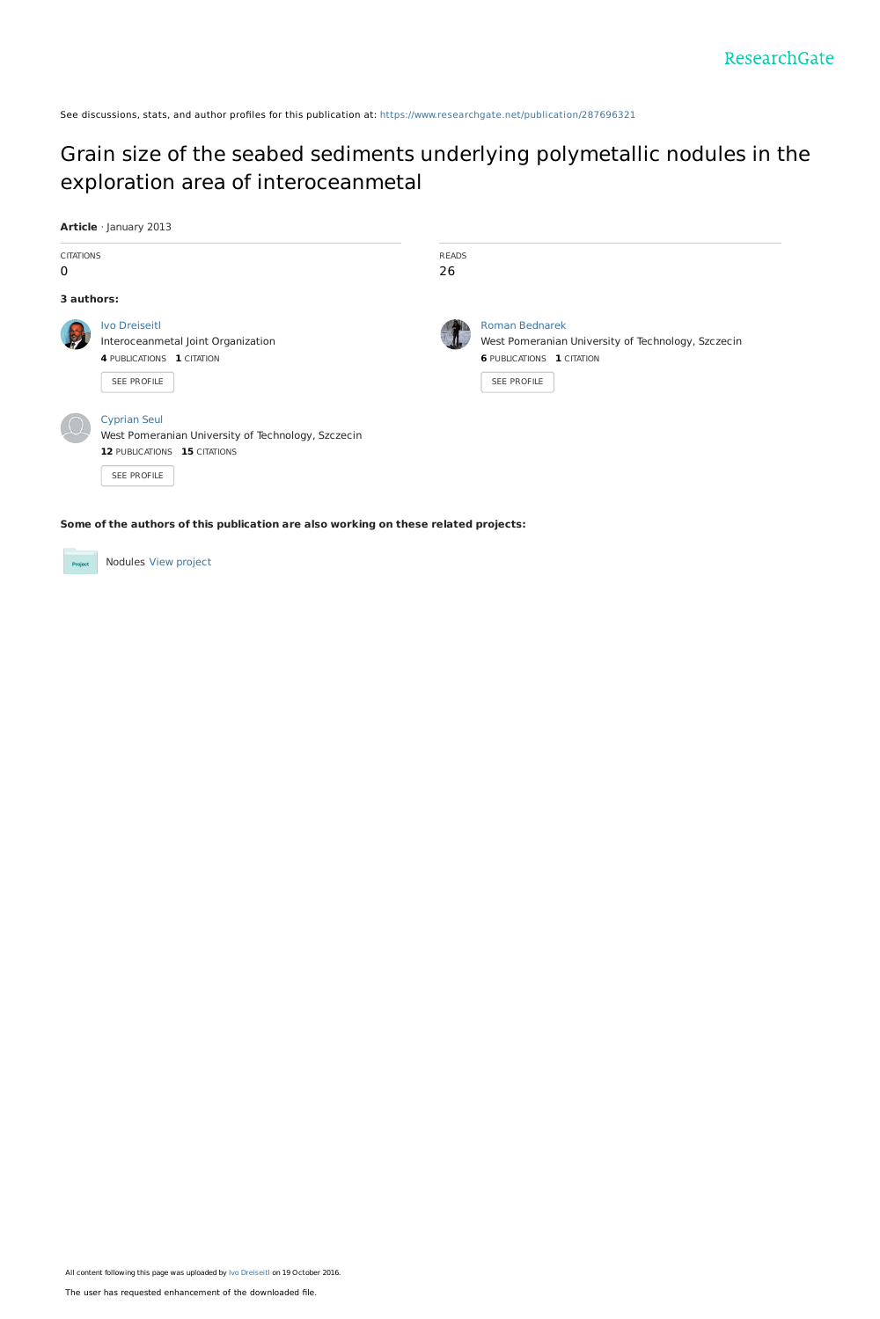See discussions, stats, and author profiles for this publication at: [https://www.researchgate.net/publication/287696321](https://www.researchgate.net/publication/287696321_Grain_size_of_the_seabed_sediments_underlying_polymetallic_nodules_in_the_exploration_area_of_interoceanmetal?enrichId=rgreq-985c90c881a1be4b881e685091ec01ef-XXX&enrichSource=Y292ZXJQYWdlOzI4NzY5NjMyMTtBUzo0MTg3ODQ2NzU0MTgxMTJAMTQ3Njg1NzQ1NTkzNw%3D%3D&el=1_x_2&_esc=publicationCoverPdf)

# Grain size of the seabed sediments underlying polymetallic nodules in the exploration area of [interoceanmetal](https://www.researchgate.net/publication/287696321_Grain_size_of_the_seabed_sediments_underlying_polymetallic_nodules_in_the_exploration_area_of_interoceanmetal?enrichId=rgreq-985c90c881a1be4b881e685091ec01ef-XXX&enrichSource=Y292ZXJQYWdlOzI4NzY5NjMyMTtBUzo0MTg3ODQ2NzU0MTgxMTJAMTQ3Njg1NzQ1NTkzNw%3D%3D&el=1_x_3&_esc=publicationCoverPdf)

#### **Article** · January 2013

| <b>CITATIONS</b><br>$\mathbf 0$ |                                                                                                                          | <b>READS</b><br>26 |                                                                                                                                |
|---------------------------------|--------------------------------------------------------------------------------------------------------------------------|--------------------|--------------------------------------------------------------------------------------------------------------------------------|
| 3 authors:                      |                                                                                                                          |                    |                                                                                                                                |
|                                 | <b>Ivo Dreiseitl</b><br>Interoceanmetal Joint Organization<br>4 PUBLICATIONS 1 CITATION<br>SEE PROFILE                   |                    | <b>Roman Bednarek</b><br>West Pomeranian University of Technology, Szczecin<br><b>6 PUBLICATIONS 1 CITATION</b><br>SEE PROFILE |
|                                 | <b>Cyprian Seul</b><br>West Pomeranian University of Technology, Szczecin<br>12 PUBLICATIONS 15 CITATIONS<br>SEE PROFILE |                    |                                                                                                                                |

**Some of the authors of this publication are also working on these related projects:**

Nodules View [project](https://www.researchgate.net/project/Nodules?enrichId=rgreq-985c90c881a1be4b881e685091ec01ef-XXX&enrichSource=Y292ZXJQYWdlOzI4NzY5NjMyMTtBUzo0MTg3ODQ2NzU0MTgxMTJAMTQ3Njg1NzQ1NTkzNw%3D%3D&el=1_x_9&_esc=publicationCoverPdf)  $Prc$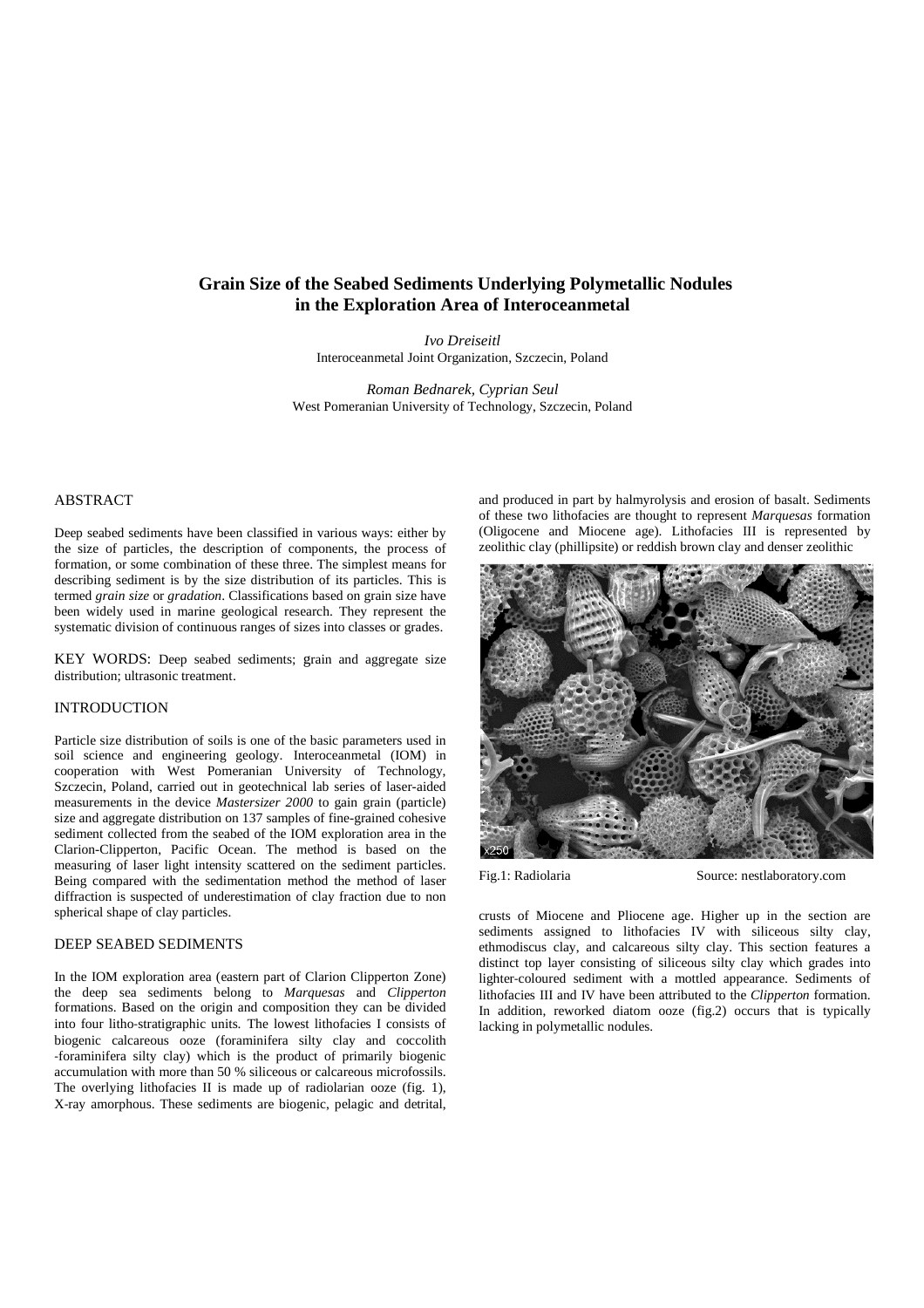## **Grain Size of the Seabed Sediments Underlying Polymetallic Nodules in the Exploration Area of Interoceanmetal**

*Ivo Dreiseitl*  Interoceanmetal Joint Organization, Szczecin, Poland

*Roman Bednarek, Cyprian Seul*  West Pomeranian University of Technology, Szczecin, Poland

## ABSTRACT

Deep seabed sediments have been classified in various ways: either by the size of particles, the description of components, the process of formation, or some combination of these three. The simplest means for describing sediment is by the size distribution of its particles. This is termed *grain size* or *gradation*. Classifications based on grain size have been widely used in marine geological research. They represent the systematic division of continuous ranges of sizes into classes or grades.

KEY WORDS: Deep seabed sediments; grain and aggregate size distribution; ultrasonic treatment.

#### INTRODUCTION

Particle size distribution of soils is one of the basic parameters used in soil science and engineering geology. Interoceanmetal (IOM) in cooperation with West Pomeranian University of Technology, Szczecin, Poland, carried out in geotechnical lab series of laser-aided measurements in the device *Mastersizer 2000* to gain grain (particle) size and aggregate distribution on 137 samples of fine-grained cohesive sediment collected from the seabed of the IOM exploration area in the Clarion-Clipperton, Pacific Ocean. The method is based on the measuring of laser light intensity scattered on the sediment particles. Being compared with the sedimentation method the method of laser diffraction is suspected of underestimation of clay fraction due to non spherical shape of clay particles.

#### DEEP SEABED SEDIMENTS

In the IOM exploration area (eastern part of Clarion Clipperton Zone) the deep sea sediments belong to *Marquesas* and *Clipperton*  formations. Based on the origin and composition they can be divided into four litho‐stratigraphic units. The lowest lithofacies I consists of biogenic calcareous ooze (foraminifera silty clay and coccolith ‐foraminifera silty clay) which is the product of primarily biogenic accumulation with more than 50 % siliceous or calcareous microfossils. The overlying lithofacies II is made up of radiolarian ooze (fig. 1), X‐ray amorphous. These sediments are biogenic, pelagic and detrital, and produced in part by halmyrolysis and erosion of basalt. Sediments of these two lithofacies are thought to represent *Marquesas* formation (Oligocene and Miocene age). Lithofacies III is represented by zeolithic clay (phillipsite) or reddish brown clay and denser zeolithic



Fig.1: Radiolaria Source: nestlaboratory.com

crusts of Miocene and Pliocene age. Higher up in the section are sediments assigned to lithofacies IV with siliceous silty clay, ethmodiscus clay, and calcareous silty clay. This section features a distinct top layer consisting of siliceous silty clay which grades into lighter‐coloured sediment with a mottled appearance. Sediments of lithofacies III and IV have been attributed to the *Clipperton* formation. In addition, reworked diatom ooze (fig.2) occurs that is typically lacking in polymetallic nodules.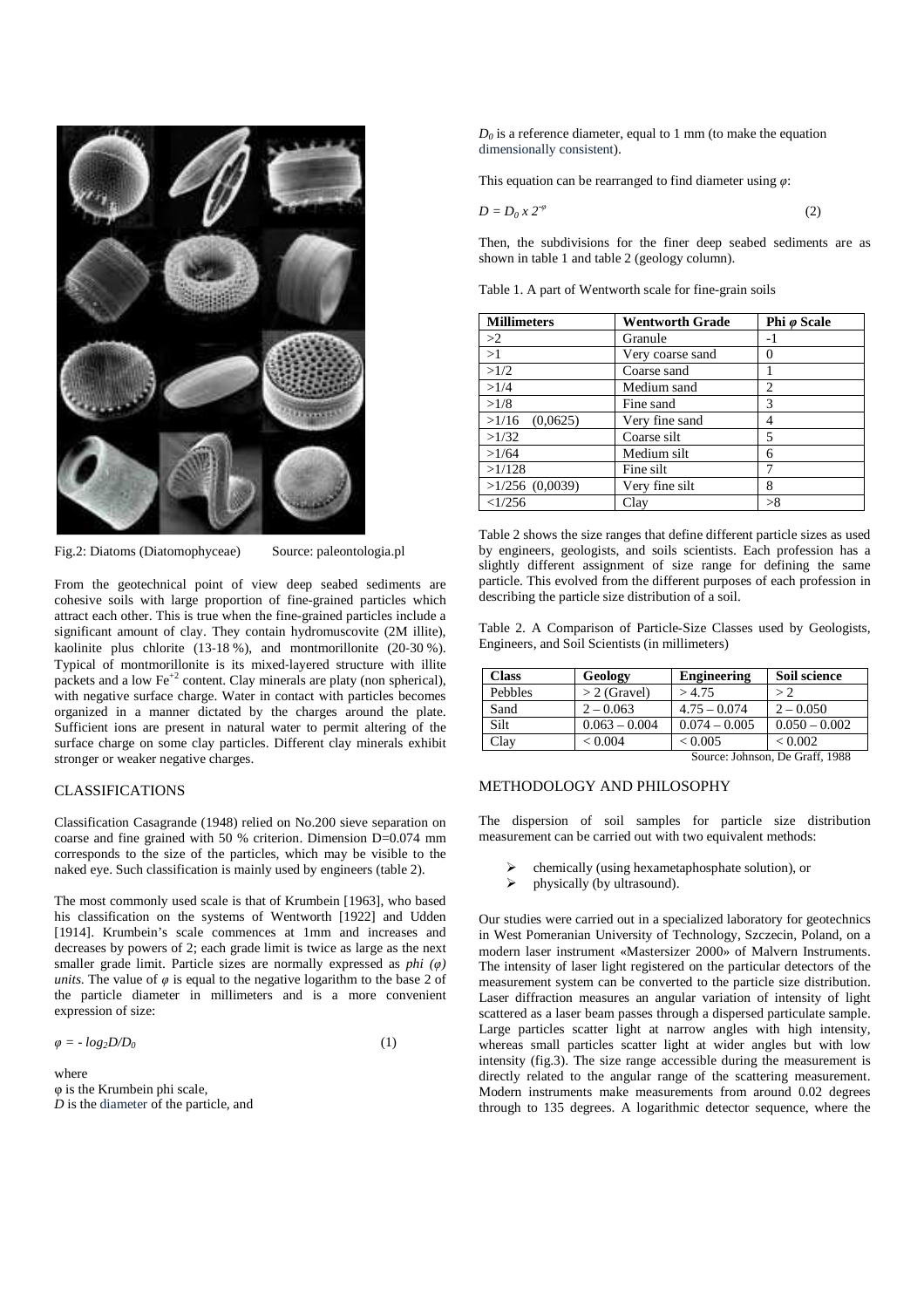

Fig.2: Diatoms (Diatomophyceae) Source: paleontologia.pl

From the geotechnical point of view deep seabed sediments are cohesive soils with large proportion of fine-grained particles which attract each other. This is true when the fine-grained particles include a significant amount of clay. They contain hydromuscovite (2M illite), kaolinite plus chlorite (13-18 %), and montmorillonite (20-30 %). Typical of montmorillonite is its mixed‐layered structure with illite packets and a low  $\text{Fe}^{+2}$  content. Clay minerals are platy (non spherical), with negative surface charge. Water in contact with particles becomes organized in a manner dictated by the charges around the plate. Sufficient ions are present in natural water to permit altering of the surface charge on some clay particles. Different clay minerals exhibit stronger or weaker negative charges.

### CLASSIFICATIONS

Classification Casagrande (1948) relied on No.200 sieve separation on coarse and fine grained with 50 % criterion. Dimension D=0.074 mm corresponds to the size of the particles, which may be visible to the naked eye. Such classification is mainly used by engineers (table 2).

The most commonly used scale is that of Krumbein [1963], who based his classification on the systems of Wentworth [1922] and Udden [1914]. Krumbein's scale commences at 1mm and increases and decreases by powers of 2; each grade limit is twice as large as the next smaller grade limit. Particle sizes are normally expressed as *phi (*φ*) units*. The value of  $\varphi$  is equal to the negative logarithm to the base 2 of the particle diameter in millimeters and is a more convenient expression of size:

 $\varphi = -\log_2(D/D_0)$ (1)

where φ is the Krumbein phi scale, *D* is the diameter of the particle, and

 $D_0$  is a reference diameter, equal to 1 mm (to make the equation dimensionally consistent).

This equation can be rearranged to find diameter using  $\varphi$ :

$$
D = D_0 x 2^{-\varphi} \tag{2}
$$

Then, the subdivisions for the finer deep seabed sediments are as shown in table 1 and table 2 (geology column).

Table 1. A part of Wentworth scale for fine-grain soils

| <b>Millimeters</b> | <b>Wentworth Grade</b> | Phi ø Scale    |  |
|--------------------|------------------------|----------------|--|
| >2                 | Granule                | -1             |  |
| >1                 | Very coarse sand       | 0              |  |
| >1/2               | Coarse sand            |                |  |
| >1/4               | Medium sand            | $\overline{c}$ |  |
| >1/8               | Fine sand              | 3              |  |
| (0,0625)<br>>1/16  | Very fine sand         | 4              |  |
| >1/32              | Coarse silt            | 5              |  |
| >1/64              | Medium silt            | 6              |  |
| >1/128             | Fine silt              |                |  |
| $>1/256$ (0,0039)  | Very fine silt         | 8              |  |
| <1/256             | Clay                   | >8             |  |

Table 2 shows the size ranges that define different particle sizes as used by engineers, geologists, and soils scientists. Each profession has a slightly different assignment of size range for defining the same particle. This evolved from the different purposes of each profession in describing the particle size distribution of a soil.

Table 2. A Comparison of Particle-Size Classes used by Geologists, Engineers, and Soil Scientists (in millimeters)

| <b>Class</b>                    | Geology         | <b>Engineering</b> | Soil science    |  |
|---------------------------------|-----------------|--------------------|-----------------|--|
| Pebbles                         | $> 2$ (Gravel)  | >4.75              | > 2             |  |
| Sand                            | $2 - 0.063$     | $4.75 - 0.074$     | $2 - 0.050$     |  |
| Silt                            | $0.063 - 0.004$ | $0.074 - 0.005$    | $0.050 - 0.002$ |  |
| Clay                            | < 0.004         | < 0.005            | ${}_{< 0.002}$  |  |
| Source: Johnson, De Graff, 1988 |                 |                    |                 |  |

## METHODOLOGY AND PHILOSOPHY

The dispersion of soil samples for particle size distribution measurement can be carried out with two equivalent methods:

- chemically (using hexametaphosphate solution), or
- physically (by ultrasound).

Our studies were carried out in a specialized laboratory for geotechnics in West Pomeranian University of Technology, Szczecin, Poland, on a modern laser instrument «Mastersizer 2000» of Malvern Instruments. The intensity of laser light registered on the particular detectors of the measurement system can be converted to the particle size distribution. Laser diffraction measures an angular variation of intensity of light scattered as a laser beam passes through a dispersed particulate sample. Large particles scatter light at narrow angles with high intensity, whereas small particles scatter light at wider angles but with low intensity (fig.3). The size range accessible during the measurement is directly related to the angular range of the scattering measurement. Modern instruments make measurements from around 0.02 degrees through to 135 degrees. A logarithmic detector sequence, where the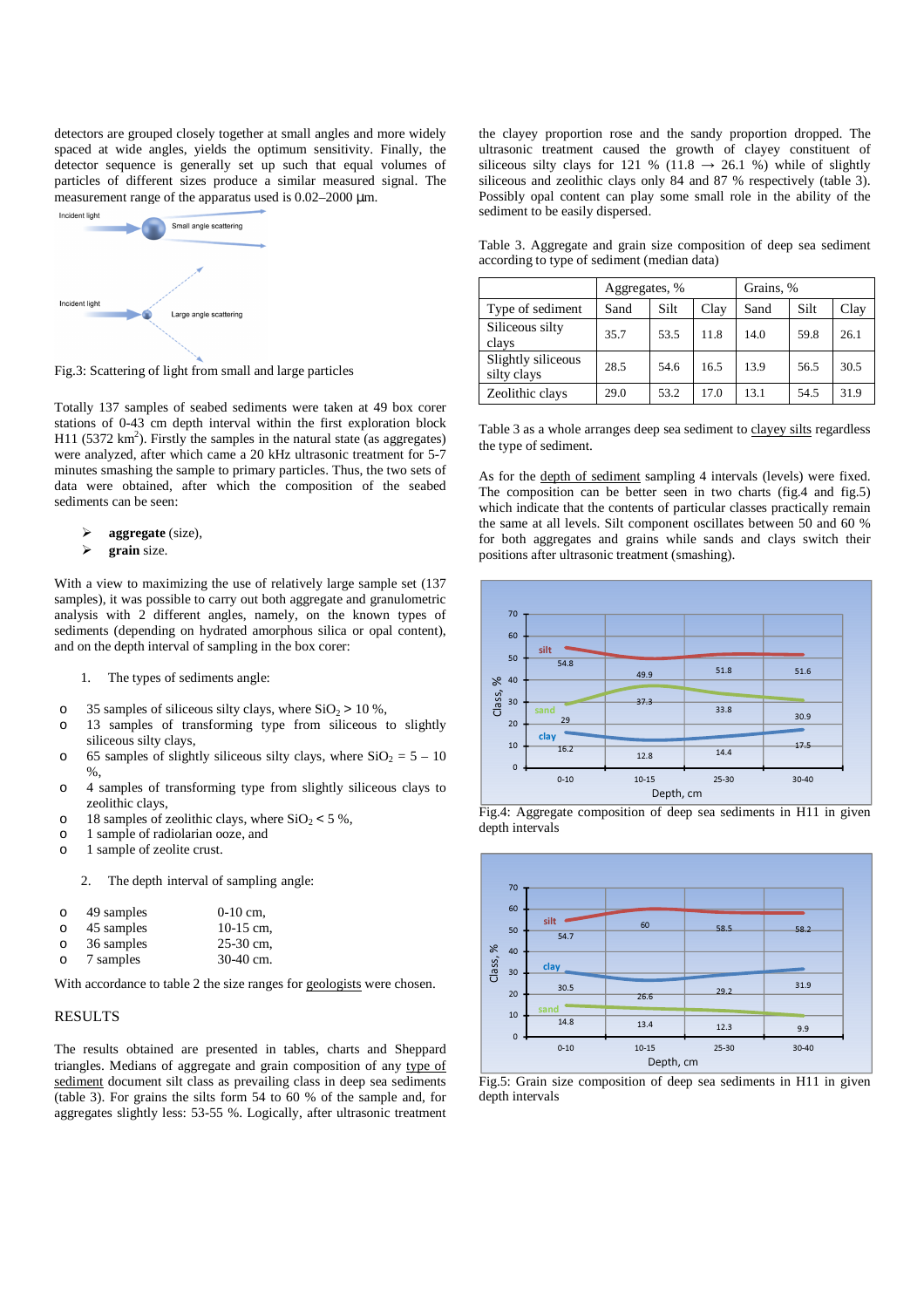detectors are grouped closely together at small angles and more widely spaced at wide angles, yields the optimum sensitivity. Finally, the detector sequence is generally set up such that equal volumes of particles of different sizes produce a similar measured signal. The measurement range of the apparatus used is 0.02–2000  $\mu$ m.



Fig.3: Scattering of light from small and large particles

Totally 137 samples of seabed sediments were taken at 49 box corer stations of 0-43 cm depth interval within the first exploration block H11 (5372  $\text{km}^2$ ). Firstly the samples in the natural state (as aggregates) were analyzed, after which came a 20 kHz ultrasonic treatment for 5-7 minutes smashing the sample to primary particles. Thus, the two sets of data were obtained, after which the composition of the seabed sediments can be seen:

- **aggregate** (size),
- **grain** size.

With a view to maximizing the use of relatively large sample set (137 samples), it was possible to carry out both aggregate and granulometric analysis with 2 different angles, namely, on the known types of sediments (depending on hydrated amorphous silica or opal content), and on the depth interval of sampling in the box corer:

- 1. The types of sediments angle:
- o 35 samples of siliceous silty clays, where  $SiO_2 > 10 %$ ,
- o 13 samples of transforming type from siliceous to slightly siliceous silty clays,
- o 65 samples of slightly siliceous silty clays, where  $SiO_2 = 5 10$  $\%$ .
- o 4 samples of transforming type from slightly siliceous clays to zeolithic clays,
- o 18 samples of zeolithic clays, where  $SiO<sub>2</sub> < 5$ %,
- o 1 sample of radiolarian ooze, and
- o 1 sample of zeolite crust.
	- 2. The depth interval of sampling angle:

| $\Omega$ | 49 samples | $0-10$ cm.  |
|----------|------------|-------------|
| $\Omega$ | 45 samples | $10-15$ cm, |
| $\Omega$ | 36 samples | 25-30 cm,   |
| Ω        | 7 samples  | $30-40$ cm. |

With accordance to table 2 the size ranges for geologists were chosen.

### RESULTS

The results obtained are presented in tables, charts and Sheppard triangles. Medians of aggregate and grain composition of any type of sediment document silt class as prevailing class in deep sea sediments (table 3). For grains the silts form 54 to 60 % of the sample and, for aggregates slightly less: 53-55 %. Logically, after ultrasonic treatment

the clayey proportion rose and the sandy proportion dropped. The ultrasonic treatment caused the growth of clayey constituent of siliceous silty clays for 121 % (11.8  $\rightarrow$  26.1 %) while of slightly siliceous and zeolithic clays only 84 and 87 % respectively (table 3). Possibly opal content can play some small role in the ability of the sediment to be easily dispersed.

Table 3. Aggregate and grain size composition of deep sea sediment according to type of sediment (median data)

|                                   | Aggregates, % |      |      | Grains, % |      |      |
|-----------------------------------|---------------|------|------|-----------|------|------|
| Type of sediment                  | Sand          | Silt | Clay | Sand      | Silt | Clay |
| Siliceous silty<br>clays          | 35.7          | 53.5 | 11.8 | 14.0      | 59.8 | 26.1 |
| Slightly siliceous<br>silty clays | 28.5          | 54.6 | 16.5 | 13.9      | 56.5 | 30.5 |
| Zeolithic clays                   | 29.0          | 53.2 | 17.0 | 13.1      | 54.5 | 31.9 |

Table 3 as a whole arranges deep sea sediment to clayey silts regardless the type of sediment.

As for the depth of sediment sampling 4 intervals (levels) were fixed. The composition can be better seen in two charts (fig.4 and fig.5) which indicate that the contents of particular classes practically remain the same at all levels. Silt component oscillates between 50 and 60 % for both aggregates and grains while sands and clays switch their positions after ultrasonic treatment (smashing).







Fig.5: Grain size composition of deep sea sediments in H11 in given depth intervals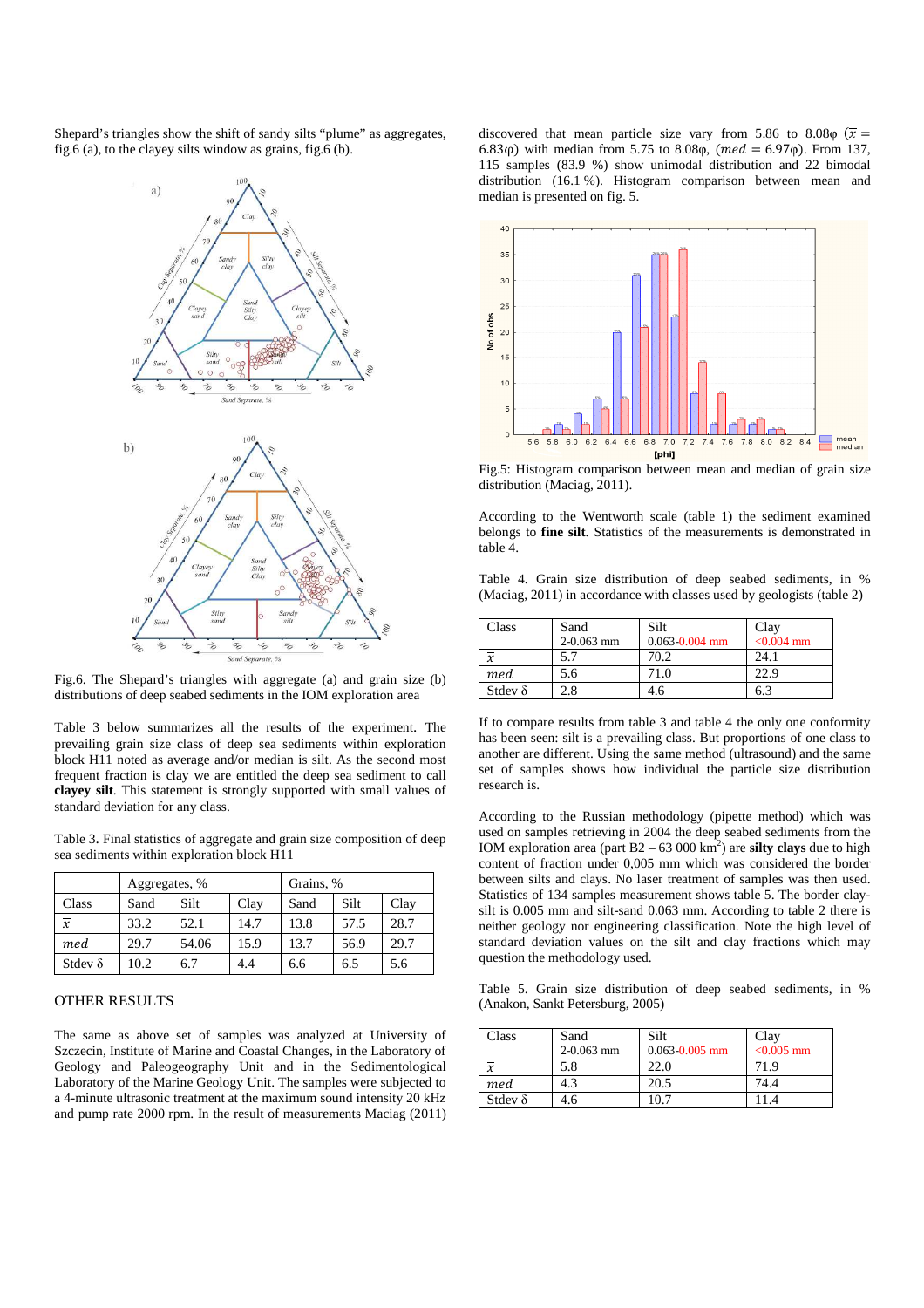Shepard's triangles show the shift of sandy silts "plume" as aggregates, fig.6 (a), to the clayey silts window as grains, fig.6 (b).



Fig.6. The Shepard's triangles with aggregate (a) and grain size (b) distributions of deep seabed sediments in the IOM exploration area

Table 3 below summarizes all the results of the experiment. The prevailing grain size class of deep sea sediments within exploration block H11 noted as average and/or median is silt. As the second most frequent fraction is clay we are entitled the deep sea sediment to call **clayey silt**. This statement is strongly supported with small values of standard deviation for any class.

Table 3. Final statistics of aggregate and grain size composition of deep sea sediments within exploration block H11

|                | Aggregates, % |       |      | Grains, % |      |      |
|----------------|---------------|-------|------|-----------|------|------|
| Class          | Sand          | Silt  | Clay | Sand      | Silt | Clay |
| $\overline{x}$ | 33.2          | 52.1  | 14.7 | 13.8      | 57.5 | 28.7 |
| med            | 29.7          | 54.06 | 15.9 | 13.7      | 56.9 | 29.7 |
| Stdev $\delta$ | 10.2          | 6.7   | 4.4  | 6.6       | 6.5  | 5.6  |

#### OTHER RESULTS

The same as above set of samples was analyzed at University of Szczecin, Institute of Marine and Coastal Changes, in the Laboratory of Geology and Paleogeography Unit and in the Sedimentological Laboratory of the Marine Geology Unit. The samples were subjected to a 4-minute ultrasonic treatment at the maximum sound intensity 20 kHz and pump rate 2000 rpm. In the result of measurements Maciag (2011) discovered that mean particle size vary from 5.86 to 8.08 $\varphi$  ( $\bar{x}$  = 6.83 $\varphi$ ) with median from 5.75 to 8.08 $\varphi$ , (med = 6.97 $\varphi$ ). From 137, 115 samples (83.9 %) show unimodal distribution and 22 bimodal distribution (16.1 %). Histogram comparison between mean and median is presented on fig. 5.



Fig.5: Histogram comparison between mean and median of grain size distribution (Maciag, 2011).

According to the Wentworth scale (table 1) the sediment examined belongs to **fine silt**. Statistics of the measurements is demonstrated in table 4.

Table 4. Grain size distribution of deep seabed sediments, in % (Maciag, 2011) in accordance with classes used by geologists (table 2)

| Class          | Sand<br>$2-0.063$ mm | Silt<br>$0.063 - 0.004$ mm | Clay<br>$< 0.004$ mm |
|----------------|----------------------|----------------------------|----------------------|
| $\overline{x}$ |                      | 70.2                       | 24.1                 |
| med            | 5.6                  | 71.0                       | 22.9                 |
| Stdev $\delta$ |                      | 4.6                        | 6                    |

If to compare results from table 3 and table 4 the only one conformity has been seen: silt is a prevailing class. But proportions of one class to another are different. Using the same method (ultrasound) and the same set of samples shows how individual the particle size distribution research is.

According to the Russian methodology (pipette method) which was used on samples retrieving in 2004 the deep seabed sediments from the IOM exploration area (part  $B2 - 63000 \text{ km}^2$ ) are **silty clays** due to high content of fraction under 0,005 mm which was considered the border between silts and clays. No laser treatment of samples was then used. Statistics of 134 samples measurement shows table 5. The border claysilt is 0.005 mm and silt-sand 0.063 mm. According to table 2 there is neither geology nor engineering classification. Note the high level of standard deviation values on the silt and clay fractions which may question the methodology used.

Table 5. Grain size distribution of deep seabed sediments, in % (Anakon, Sankt Petersburg, 2005)

| Class          | Sand           | Silt               | Clay         |
|----------------|----------------|--------------------|--------------|
|                | $2 - 0.063$ mm | $0.063 - 0.005$ mm | $< 0.005$ mm |
| $\overline{x}$ | 5.8            | 22.0               | 71.9         |
| med            | 4.3            | 20.5               | 74.4         |
| Stdev $\delta$ | 4.6            | 10.7               |              |